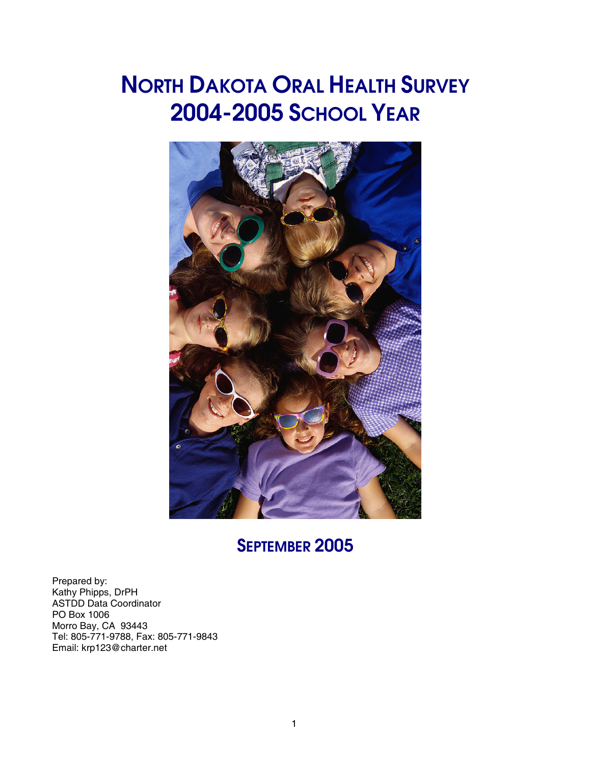# **NORTH DAKOTA ORAL HEALTH SURVEY 2004-2005 SCHOOL YEAR**



# **SEPTEMBER 2005**

Prepared by: Kathy Phipps, DrPH ASTDD Data Coordinator PO Box 1006 Morro Bay, CA 93443 Tel: 805-771-9788, Fax: 805-771-9843 Email: krp123@charter.net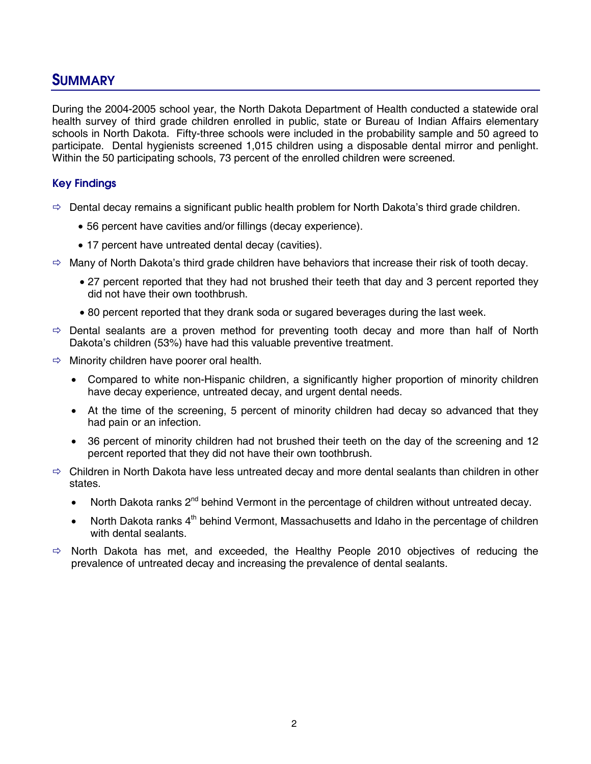### **SUMMARY**

During the 2004-2005 school year, the North Dakota Department of Health conducted a statewide oral health survey of third grade children enrolled in public, state or Bureau of Indian Affairs elementary schools in North Dakota. Fifty-three schools were included in the probability sample and 50 agreed to participate. Dental hygienists screened 1,015 children using a disposable dental mirror and penlight. Within the 50 participating schools, 73 percent of the enrolled children were screened.

#### **Key Findings**

- $\Rightarrow$  Dental decay remains a significant public health problem for North Dakota's third grade children.
	- 56 percent have cavities and/or fillings (decay experience).
	- 17 percent have untreated dental decay (cavities).
- $\Rightarrow$  Many of North Dakota's third grade children have behaviors that increase their risk of tooth decay.
	- 27 percent reported that they had not brushed their teeth that day and 3 percent reported they did not have their own toothbrush.
	- 80 percent reported that they drank soda or sugared beverages during the last week.
- $\Rightarrow$  Dental sealants are a proven method for preventing tooth decay and more than half of North Dakota's children (53%) have had this valuable preventive treatment.
- $\Rightarrow$  Minority children have poorer oral health.
	- Compared to white non-Hispanic children, a significantly higher proportion of minority children have decay experience, untreated decay, and urgent dental needs.
	- At the time of the screening, 5 percent of minority children had decay so advanced that they had pain or an infection.
	- 36 percent of minority children had not brushed their teeth on the day of the screening and 12 percent reported that they did not have their own toothbrush.
- $\Rightarrow$  Children in North Dakota have less untreated decay and more dental sealants than children in other states.
	- North Dakota ranks 2<sup>nd</sup> behind Vermont in the percentage of children without untreated decay.
	- North Dakota ranks 4<sup>th</sup> behind Vermont, Massachusetts and Idaho in the percentage of children with dental sealants.
- $\Rightarrow$  North Dakota has met, and exceeded, the Healthy People 2010 objectives of reducing the prevalence of untreated decay and increasing the prevalence of dental sealants.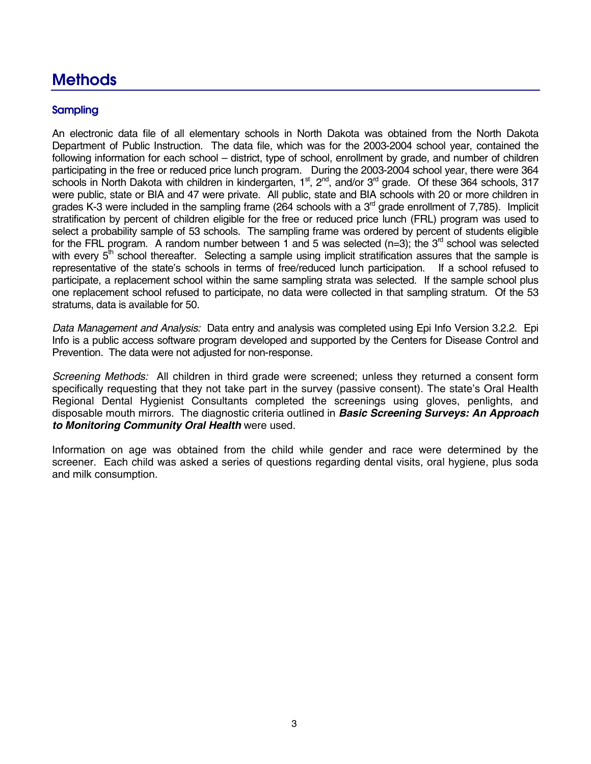# **Methods**

#### **Sampling**

An electronic data file of all elementary schools in North Dakota was obtained from the North Dakota Department of Public Instruction. The data file, which was for the 2003-2004 school year, contained the following information for each school – district, type of school, enrollment by grade, and number of children participating in the free or reduced price lunch program. During the 2003-2004 school year, there were 364 schools in North Dakota with children in kindergarten, 1<sup>st</sup>, 2<sup>nd</sup>, and/or 3<sup>rd</sup> grade. Of these 364 schools, 317 were public, state or BIA and 47 were private. All public, state and BIA schools with 20 or more children in grades K-3 were included in the sampling frame (264 schools with a  $3<sup>rd</sup>$  grade enrollment of 7,785). Implicit stratification by percent of children eligible for the free or reduced price lunch (FRL) program was used to select a probability sample of 53 schools. The sampling frame was ordered by percent of students eligible for the FRL program. A random number between 1 and 5 was selected ( $n=3$ ); the 3<sup>rd</sup> school was selected with every  $5<sup>th</sup>$  school thereafter. Selecting a sample using implicit stratification assures that the sample is representative of the state's schools in terms of free/reduced lunch participation. If a school refused to participate, a replacement school within the same sampling strata was selected. If the sample school plus one replacement school refused to participate, no data were collected in that sampling stratum. Of the 53 stratums, data is available for 50.

*Data Management and Analysis:* Data entry and analysis was completed using Epi Info Version 3.2.2. Epi Info is a public access software program developed and supported by the Centers for Disease Control and Prevention. The data were not adjusted for non-response.

*Screening Methods:* All children in third grade were screened; unless they returned a consent form specifically requesting that they not take part in the survey (passive consent). The state's Oral Health Regional Dental Hygienist Consultants completed the screenings using gloves, penlights, and disposable mouth mirrors. The diagnostic criteria outlined in *Basic Screening Surveys: An Approach to Monitoring Community Oral Health* were used.

Information on age was obtained from the child while gender and race were determined by the screener. Each child was asked a series of questions regarding dental visits, oral hygiene, plus soda and milk consumption.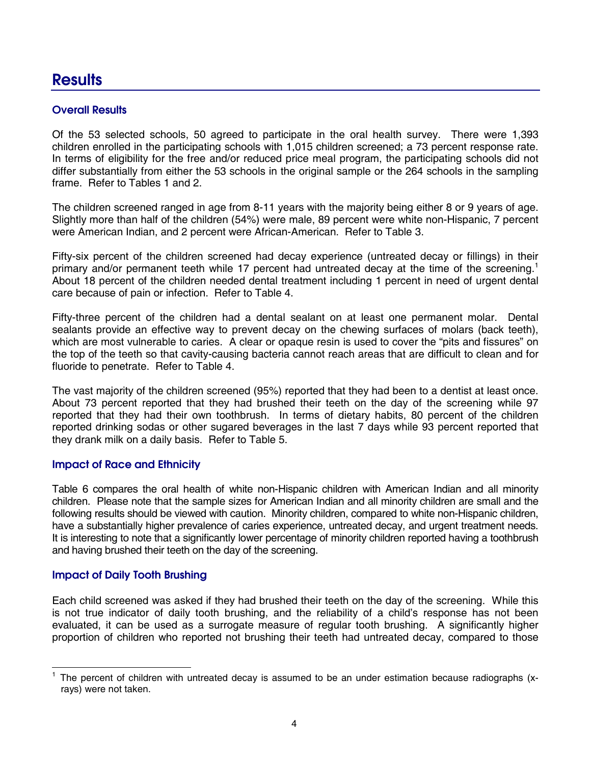# **Results**

#### **Overall Results**

Of the 53 selected schools, 50 agreed to participate in the oral health survey. There were 1,393 children enrolled in the participating schools with 1,015 children screened; a 73 percent response rate. In terms of eligibility for the free and/or reduced price meal program, the participating schools did not differ substantially from either the 53 schools in the original sample or the 264 schools in the sampling frame. Refer to Tables 1 and 2.

The children screened ranged in age from 8-11 years with the majority being either 8 or 9 years of age. Slightly more than half of the children (54%) were male, 89 percent were white non-Hispanic, 7 percent were American Indian, and 2 percent were African-American. Refer to Table 3.

Fifty-six percent of the children screened had decay experience (untreated decay or fillings) in their primary and/or permanent teeth while 17 percent had untreated decay at the time of the screening.<sup>1</sup> About 18 percent of the children needed dental treatment including 1 percent in need of urgent dental care because of pain or infection. Refer to Table 4.

Fifty-three percent of the children had a dental sealant on at least one permanent molar. Dental sealants provide an effective way to prevent decay on the chewing surfaces of molars (back teeth), which are most vulnerable to caries. A clear or opaque resin is used to cover the "pits and fissures" on the top of the teeth so that cavity-causing bacteria cannot reach areas that are difficult to clean and for fluoride to penetrate. Refer to Table 4.

The vast majority of the children screened (95%) reported that they had been to a dentist at least once. About 73 percent reported that they had brushed their teeth on the day of the screening while 97 reported that they had their own toothbrush. In terms of dietary habits, 80 percent of the children reported drinking sodas or other sugared beverages in the last 7 days while 93 percent reported that they drank milk on a daily basis. Refer to Table 5.

#### **Impact of Race and Ethnicity**

Table 6 compares the oral health of white non-Hispanic children with American Indian and all minority children. Please note that the sample sizes for American Indian and all minority children are small and the following results should be viewed with caution. Minority children, compared to white non-Hispanic children, have a substantially higher prevalence of caries experience, untreated decay, and urgent treatment needs. It is interesting to note that a significantly lower percentage of minority children reported having a toothbrush and having brushed their teeth on the day of the screening.

#### **Impact of Daily Tooth Brushing**

-

Each child screened was asked if they had brushed their teeth on the day of the screening. While this is not true indicator of daily tooth brushing, and the reliability of a child's response has not been evaluated, it can be used as a surrogate measure of regular tooth brushing. A significantly higher proportion of children who reported not brushing their teeth had untreated decay, compared to those

<sup>1</sup> The percent of children with untreated decay is assumed to be an under estimation because radiographs (xrays) were not taken.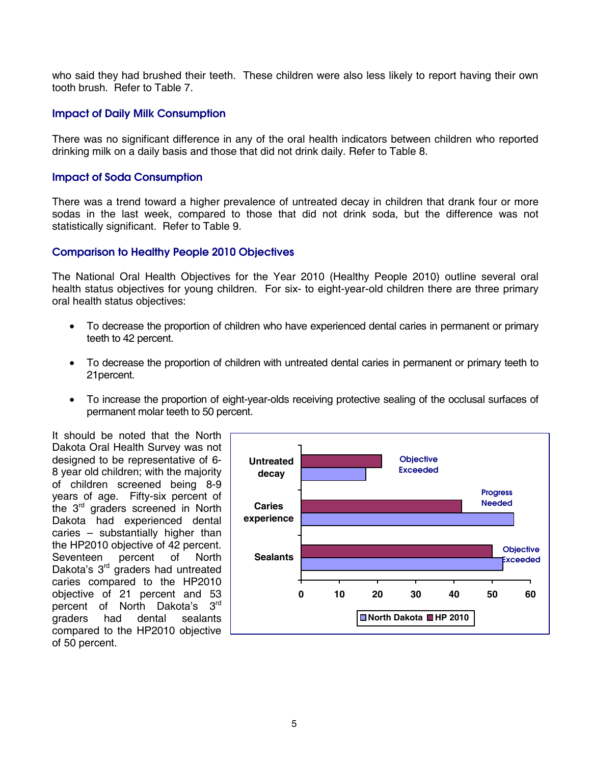who said they had brushed their teeth. These children were also less likely to report having their own tooth brush. Refer to Table 7.

#### **Impact of Daily Milk Consumption**

There was no significant difference in any of the oral health indicators between children who reported drinking milk on a daily basis and those that did not drink daily. Refer to Table 8.

#### **Impact of Soda Consumption**

There was a trend toward a higher prevalence of untreated decay in children that drank four or more sodas in the last week, compared to those that did not drink soda, but the difference was not statistically significant. Refer to Table 9.

#### **Comparison to Healthy People 2010 Objectives**

The National Oral Health Objectives for the Year 2010 (Healthy People 2010) outline several oral health status objectives for young children. For six- to eight-year-old children there are three primary oral health status objectives:

- To decrease the proportion of children who have experienced dental caries in permanent or primary teeth to 42 percent.
- To decrease the proportion of children with untreated dental caries in permanent or primary teeth to 21percent.
- To increase the proportion of eight-year-olds receiving protective sealing of the occlusal surfaces of permanent molar teeth to 50 percent.

It should be noted that the North Dakota Oral Health Survey was not designed to be representative of 6- 8 year old children; with the majority of children screened being 8-9 years of age. Fifty-six percent of the 3rd graders screened in North Dakota had experienced dental caries – substantially higher than the HP2010 objective of 42 percent. Seventeen percent of North Dakota's 3<sup>rd</sup> graders had untreated caries compared to the HP2010 objective of 21 percent and 53 percent of North Dakota's 3rd graders had dental sealants compared to the HP2010 objective of 50 percent.

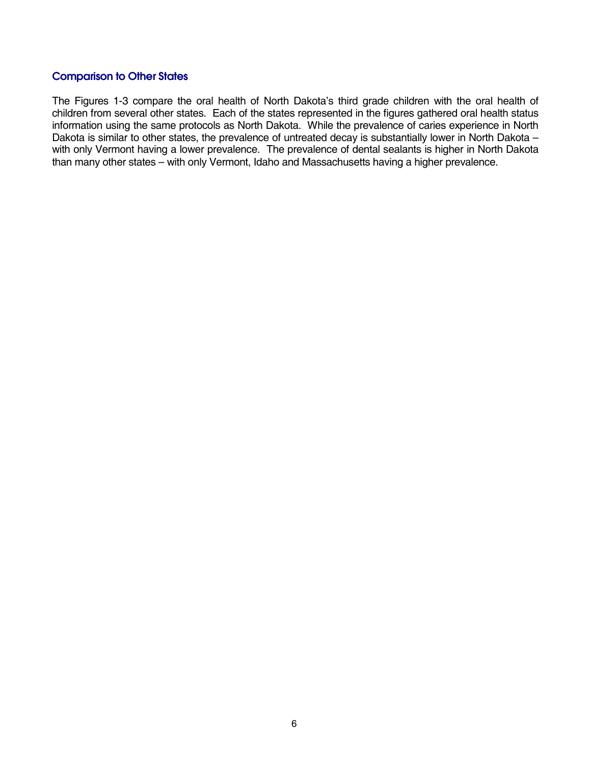#### **Comparison to Other States**

The Figures 1-3 compare the oral health of North Dakota's third grade children with the oral health of children from several other states. Each of the states represented in the figures gathered oral health status information using the same protocols as North Dakota. While the prevalence of caries experience in North Dakota is similar to other states, the prevalence of untreated decay is substantially lower in North Dakota – with only Vermont having a lower prevalence. The prevalence of dental sealants is higher in North Dakota than many other states – with only Vermont, Idaho and Massachusetts having a higher prevalence.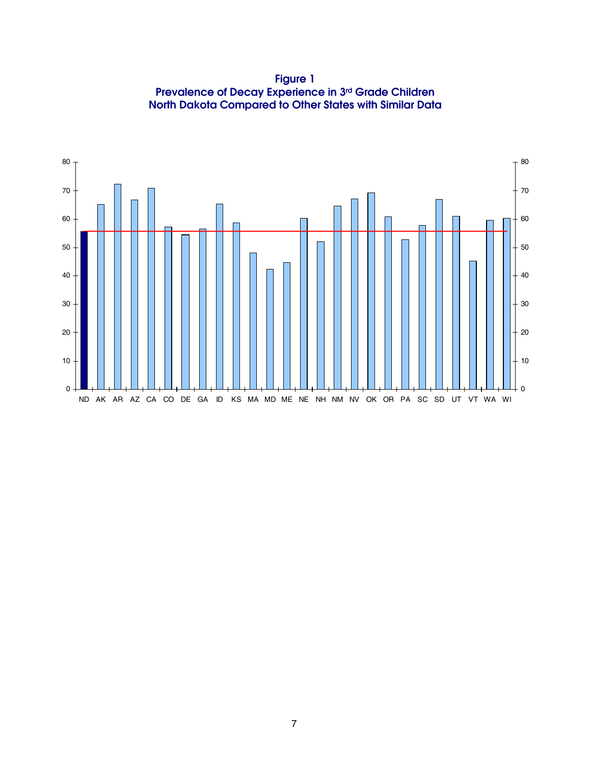**Figure 1 Prevalence of Decay Experience in 3rd Grade Children North Dakota Compared to Other States with Similar Data** 

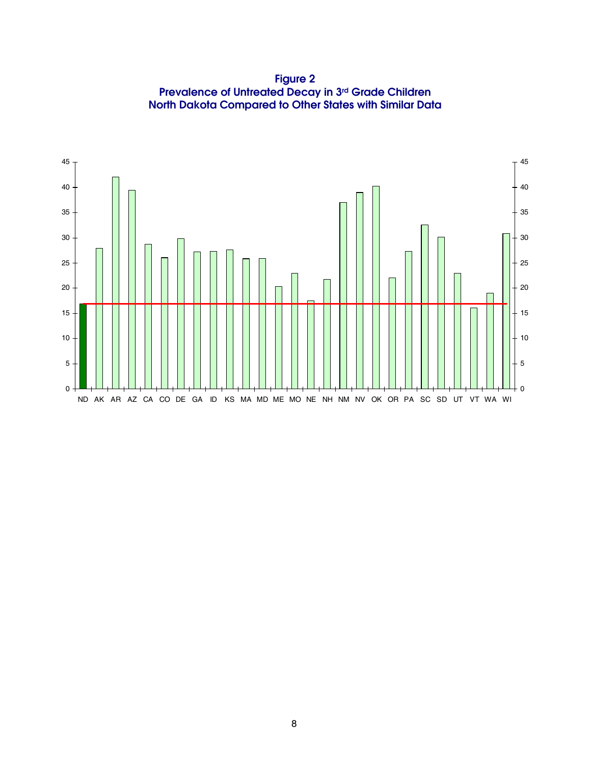**Figure 2 Prevalence of Untreated Decay in 3rd Grade Children North Dakota Compared to Other States with Similar Data** 

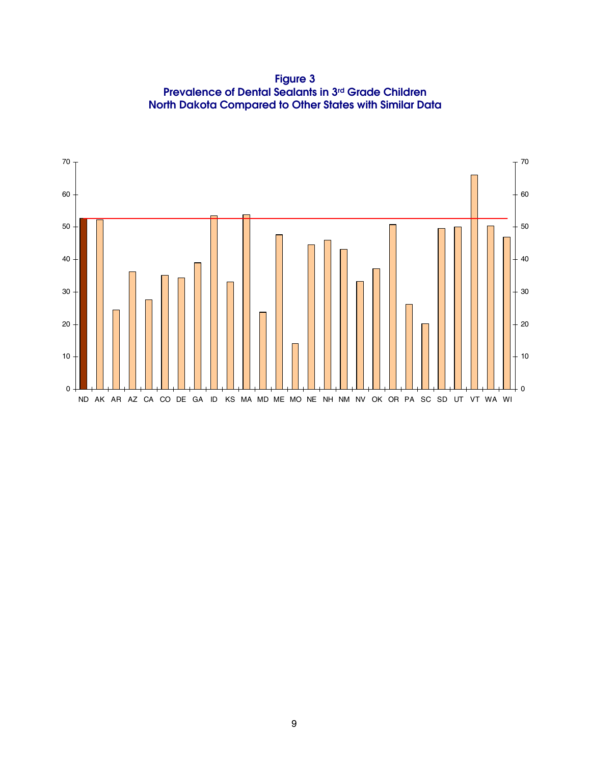**Figure 3 Prevalence of Dental Sealants in 3rd Grade Children North Dakota Compared to Other States with Similar Data** 

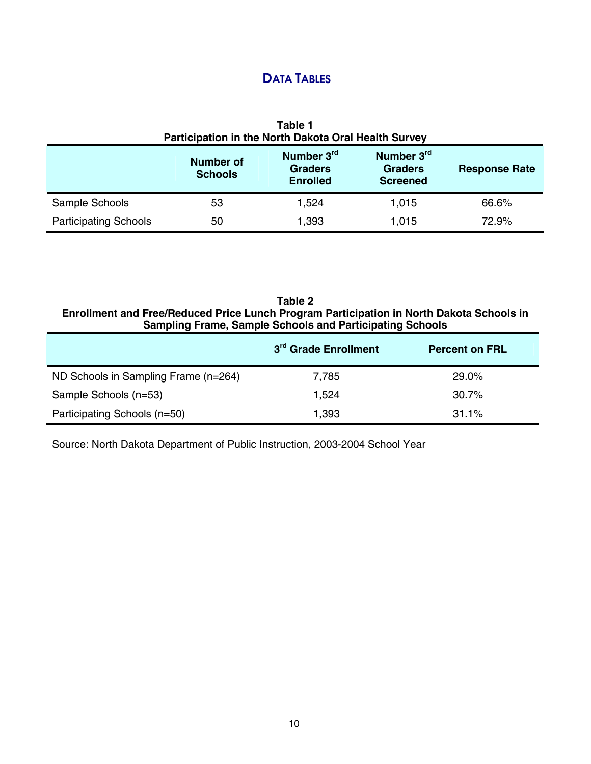## **DATA TABLES**

| Table 1<br>Participation in the North Dakota Oral Health Survey                                                                                                  |    |       |       |       |  |
|------------------------------------------------------------------------------------------------------------------------------------------------------------------|----|-------|-------|-------|--|
| Number 3rd<br>Number 3rd<br><b>Number of</b><br><b>Graders</b><br><b>Graders</b><br><b>Response Rate</b><br><b>Schools</b><br><b>Screened</b><br><b>Enrolled</b> |    |       |       |       |  |
| Sample Schools                                                                                                                                                   | 53 | 1,524 | 1,015 | 66.6% |  |
| <b>Participating Schools</b>                                                                                                                                     | 50 | 1,393 | 1,015 | 72.9% |  |

**Table 2 Enrollment and Free/Reduced Price Lunch Program Participation in North Dakota Schools in Sampling Frame, Sample Schools and Participating Schools** 

|                                      | 3 <sup>rd</sup> Grade Enrollment | <b>Percent on FRL</b> |
|--------------------------------------|----------------------------------|-----------------------|
| ND Schools in Sampling Frame (n=264) | 7.785                            | 29.0%                 |
| Sample Schools (n=53)                | 1.524                            | 30.7%                 |
| Participating Schools (n=50)         | 1,393                            | $31.1\%$              |

Source: North Dakota Department of Public Instruction, 2003-2004 School Year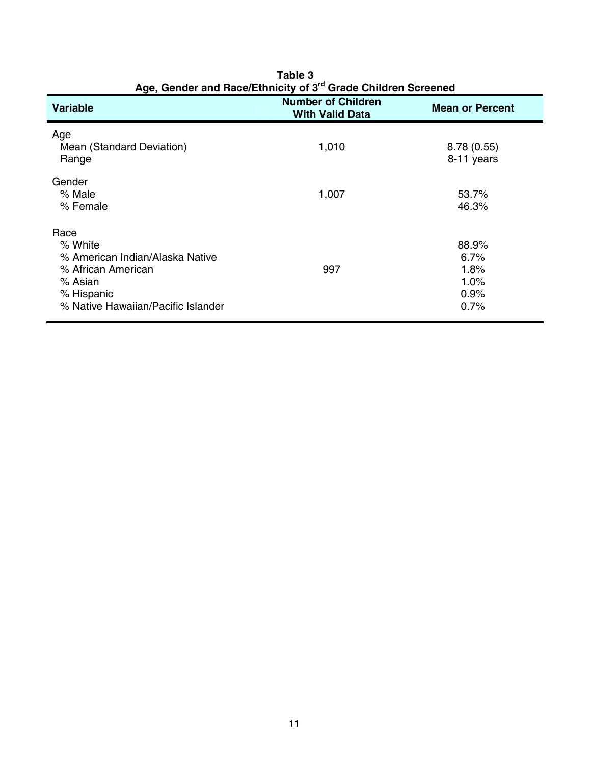| Age, Gender and Race/Ethnicity of 3 <sup>rd</sup> Grade Children Screened                                                               |                                                     |                                               |  |
|-----------------------------------------------------------------------------------------------------------------------------------------|-----------------------------------------------------|-----------------------------------------------|--|
| Variable                                                                                                                                | <b>Number of Children</b><br><b>With Valid Data</b> | <b>Mean or Percent</b>                        |  |
| Age<br>Mean (Standard Deviation)<br>Range                                                                                               | 1,010                                               | 8.78(0.55)<br>8-11 years                      |  |
| Gender<br>% Male<br>% Female                                                                                                            | 1,007                                               | 53.7%<br>46.3%                                |  |
| Race<br>% White<br>% American Indian/Alaska Native<br>% African American<br>% Asian<br>% Hispanic<br>% Native Hawaiian/Pacific Islander | 997                                                 | 88.9%<br>6.7%<br>1.8%<br>1.0%<br>0.9%<br>0.7% |  |

**Table 3**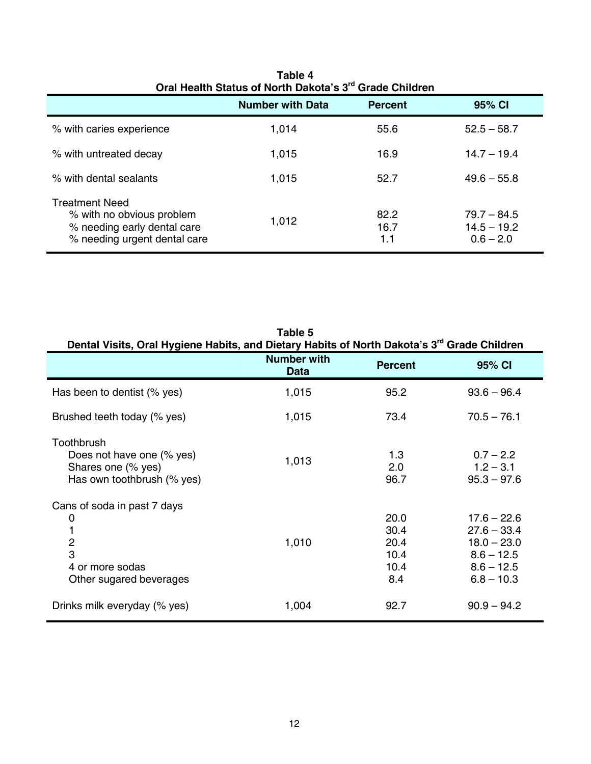| Oral Health Status of North Dakota's 3" Grade Children                                                            |                         |                     |                                               |  |
|-------------------------------------------------------------------------------------------------------------------|-------------------------|---------------------|-----------------------------------------------|--|
|                                                                                                                   | <b>Number with Data</b> | <b>Percent</b>      | 95% CI                                        |  |
| % with caries experience                                                                                          | 1,014                   | 55.6                | $52.5 - 58.7$                                 |  |
| % with untreated decay                                                                                            | 1,015                   | 16.9                | $14.7 - 19.4$                                 |  |
| % with dental sealants                                                                                            | 1,015                   | 52.7                | $49.6 - 55.8$                                 |  |
| <b>Treatment Need</b><br>% with no obvious problem<br>% needing early dental care<br>% needing urgent dental care | 1,012                   | 82.2<br>16.7<br>1.1 | $79.7 - 84.5$<br>$14.5 - 19.2$<br>$0.6 - 2.0$ |  |

| Table 4                                                             |
|---------------------------------------------------------------------|
| Oral Health Status of North Dakota's 3 <sup>rd</sup> Grade Children |

| Table 5<br>Dental Visits, Oral Hygiene Habits, and Dietary Habits of North Dakota's 3 <sup>rd</sup> Grade Children |                                   |                                             |                                                                                                 |  |  |
|--------------------------------------------------------------------------------------------------------------------|-----------------------------------|---------------------------------------------|-------------------------------------------------------------------------------------------------|--|--|
|                                                                                                                    | <b>Number with</b><br><b>Data</b> | <b>Percent</b>                              | 95% CI                                                                                          |  |  |
| Has been to dentist (% yes)                                                                                        | 1,015                             | 95.2                                        | $93.6 - 96.4$                                                                                   |  |  |
| Brushed teeth today (% yes)                                                                                        | 1,015                             | 73.4                                        | $70.5 - 76.1$                                                                                   |  |  |
| Toothbrush<br>Does not have one (% yes)<br>Shares one (% yes)<br>Has own toothbrush (% yes)                        | 1,013                             | 1.3<br>2.0<br>96.7                          | $0.7 - 2.2$<br>$1.2 - 3.1$<br>$95.3 - 97.6$                                                     |  |  |
| Cans of soda in past 7 days<br>0<br>2<br>3<br>4 or more sodas<br>Other sugared beverages                           | 1,010                             | 20.0<br>30.4<br>20.4<br>10.4<br>10.4<br>8.4 | $17.6 - 22.6$<br>$27.6 - 33.4$<br>$18.0 - 23.0$<br>$8.6 - 12.5$<br>$8.6 - 12.5$<br>$6.8 - 10.3$ |  |  |
| Drinks milk everyday (% yes)                                                                                       | 1,004                             | 92.7                                        | $90.9 - 94.2$                                                                                   |  |  |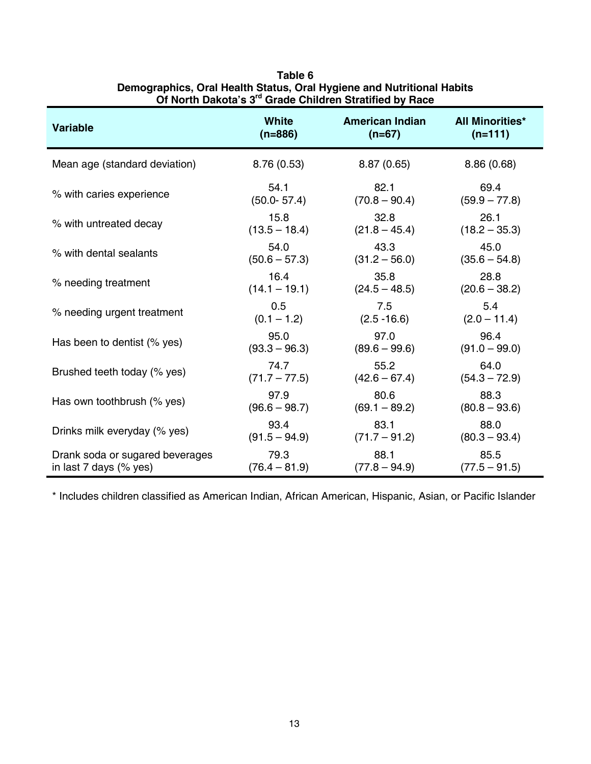| Variable                        | <b>White</b>    | <b>American Indian</b> | <b>All Minorities*</b> |
|---------------------------------|-----------------|------------------------|------------------------|
|                                 | $(n=886)$       | $(n=67)$               | $(n=111)$              |
| Mean age (standard deviation)   | 8.76(0.53)      | 8.87(0.65)             | 8.86(0.68)             |
| % with caries experience        | 54.1            | 82.1                   | 69.4                   |
|                                 | $(50.0 - 57.4)$ | $(70.8 - 90.4)$        | $(59.9 - 77.8)$        |
| % with untreated decay          | 15.8            | 32.8                   | 26.1                   |
|                                 | $(13.5 - 18.4)$ | $(21.8 - 45.4)$        | $(18.2 - 35.3)$        |
| % with dental sealants          | 54.0            | 43.3                   | 45.0                   |
|                                 | $(50.6 - 57.3)$ | $(31.2 - 56.0)$        | $(35.6 - 54.8)$        |
| % needing treatment             | 16.4            | 35.8                   | 28.8                   |
|                                 | $(14.1 - 19.1)$ | $(24.5 - 48.5)$        | $(20.6 - 38.2)$        |
| % needing urgent treatment      | 0.5             | 7.5                    | 5.4                    |
|                                 | $(0.1 - 1.2)$   | $(2.5 - 16.6)$         | $(2.0 - 11.4)$         |
| Has been to dentist (% yes)     | 95.0            | 97.0                   | 96.4                   |
|                                 | $(93.3 - 96.3)$ | $(89.6 - 99.6)$        | $(91.0 - 99.0)$        |
| Brushed teeth today (% yes)     | 74.7            | 55.2                   | 64.0                   |
|                                 | $(71.7 - 77.5)$ | $(42.6 - 67.4)$        | $(54.3 - 72.9)$        |
| Has own toothbrush (% yes)      | 97.9            | 80.6                   | 88.3                   |
|                                 | $(96.6 - 98.7)$ | $(69.1 - 89.2)$        | $(80.8 - 93.6)$        |
| Drinks milk everyday (% yes)    | 93.4            | 83.1                   | 88.0                   |
|                                 | $(91.5 - 94.9)$ | $(71.7 - 91.2)$        | $(80.3 - 93.4)$        |
| Drank soda or sugared beverages | 79.3            | 88.1                   | 85.5                   |
| in last $7$ days (% yes)        | $(76.4 - 81.9)$ | $(77.8 - 94.9)$        | $(77.5 - 91.5)$        |

| Table 6                                                               |
|-----------------------------------------------------------------------|
| Demographics, Oral Health Status, Oral Hygiene and Nutritional Habits |
| Of North Dakota's 3 <sup>rd</sup> Grade Children Stratified by Race   |

\* Includes children classified as American Indian, African American, Hispanic, Asian, or Pacific Islander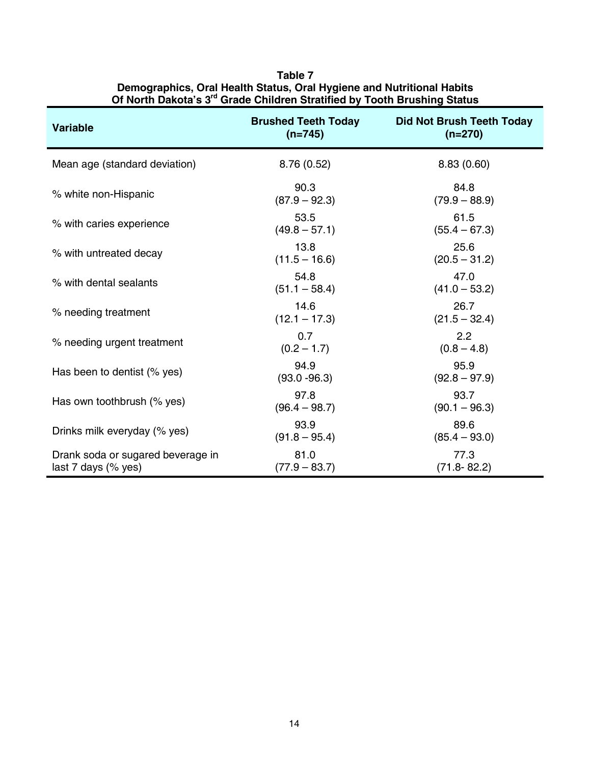| <b>Variable</b>                                          | <b>Brushed Teeth Today</b><br>$(n=745)$ | <b>Did Not Brush Teeth Today</b><br>$(n=270)$ |
|----------------------------------------------------------|-----------------------------------------|-----------------------------------------------|
| Mean age (standard deviation)                            | 8.76(0.52)                              | 8.83(0.60)                                    |
| % white non-Hispanic                                     | 90.3<br>$(87.9 - 92.3)$                 | 84.8<br>$(79.9 - 88.9)$                       |
| % with caries experience                                 | 53.5<br>$(49.8 - 57.1)$                 | 61.5<br>$(55.4 - 67.3)$                       |
| % with untreated decay                                   | 13.8<br>$(11.5 - 16.6)$                 | 25.6<br>$(20.5 - 31.2)$                       |
| % with dental sealants                                   | 54.8<br>$(51.1 - 58.4)$                 | 47.0<br>$(41.0 - 53.2)$                       |
| % needing treatment                                      | 14.6<br>$(12.1 - 17.3)$                 | 26.7<br>$(21.5 - 32.4)$                       |
| % needing urgent treatment                               | 0.7<br>$(0.2 - 1.7)$                    | 2.2<br>$(0.8 - 4.8)$                          |
| Has been to dentist (% yes)                              | 94.9<br>$(93.0 - 96.3)$                 | 95.9<br>$(92.8 - 97.9)$                       |
| Has own toothbrush (% yes)                               | 97.8<br>$(96.4 - 98.7)$                 | 93.7<br>$(90.1 - 96.3)$                       |
| Drinks milk everyday (% yes)                             | 93.9<br>$(91.8 - 95.4)$                 | 89.6<br>$(85.4 - 93.0)$                       |
| Drank soda or sugared beverage in<br>last 7 days (% yes) | 81.0<br>$(77.9 - 83.7)$                 | 77.3<br>$(71.8 - 82.2)$                       |

**Table 7 Demographics, Oral Health Status, Oral Hygiene and Nutritional Habits Of North Dakota's 3rd Grade Children Stratified by Tooth Brushing Status**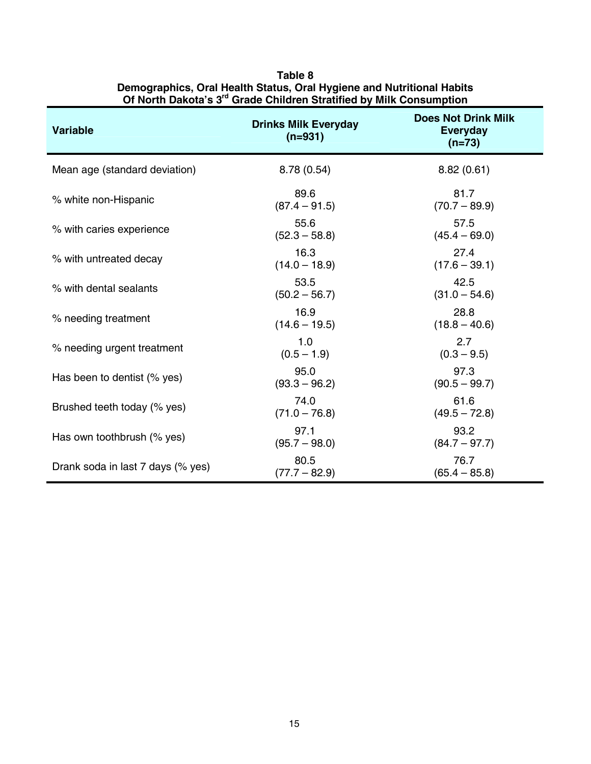| <b>Variable</b>                   | <b>Drinks Milk Everyday</b><br>$(n=931)$ | <b>Does Not Drink Milk</b><br><b>Everyday</b><br>$(n=73)$ |
|-----------------------------------|------------------------------------------|-----------------------------------------------------------|
| Mean age (standard deviation)     | 8.78 (0.54)                              | 8.82(0.61)                                                |
| % white non-Hispanic              | 89.6<br>$(87.4 - 91.5)$                  | 81.7<br>$(70.7 - 89.9)$                                   |
| % with caries experience          | 55.6<br>$(52.3 - 58.8)$                  | 57.5<br>$(45.4 - 69.0)$                                   |
| % with untreated decay            | 16.3<br>$(14.0 - 18.9)$                  | 27.4<br>$(17.6 - 39.1)$                                   |
| % with dental sealants            | 53.5<br>$(50.2 - 56.7)$                  | 42.5<br>$(31.0 - 54.6)$                                   |
| % needing treatment               | 16.9<br>$(14.6 - 19.5)$                  | 28.8<br>$(18.8 - 40.6)$                                   |
| % needing urgent treatment        | 1.0<br>$(0.5 - 1.9)$                     | 2.7<br>$(0.3 - 9.5)$                                      |
| Has been to dentist (% yes)       | 95.0<br>$(93.3 - 96.2)$                  | 97.3<br>$(90.5 - 99.7)$                                   |
| Brushed teeth today (% yes)       | 74.0<br>$(71.0 - 76.8)$                  | 61.6<br>$(49.5 - 72.8)$                                   |
| Has own toothbrush (% yes)        | 97.1<br>$(95.7 - 98.0)$                  | 93.2<br>$(84.7 - 97.7)$                                   |
| Drank soda in last 7 days (% yes) | 80.5<br>$(77.7 - 82.9)$                  | 76.7<br>$(65.4 - 85.8)$                                   |

#### **Table 8 Demographics, Oral Health Status, Oral Hygiene and Nutritional Habits Of North Dakota's 3rd Grade Children Stratified by Milk Consumption**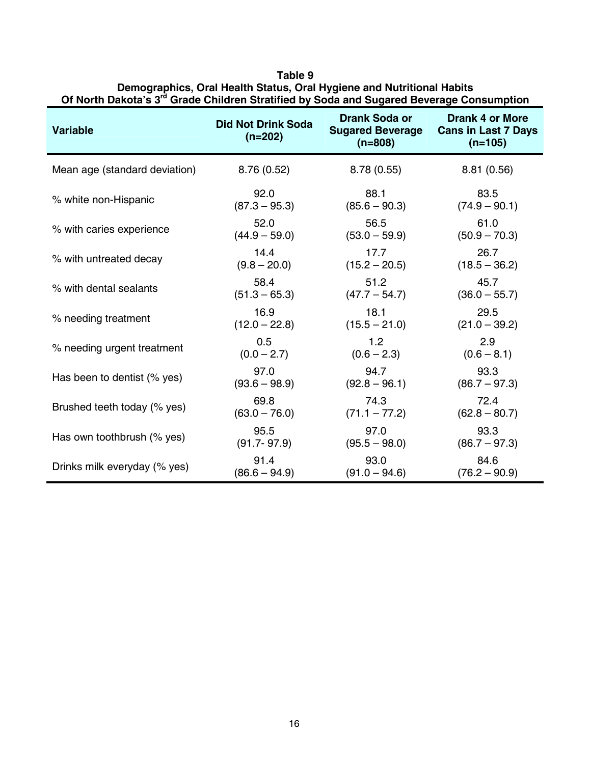| Variable                      | <b>Did Not Drink Soda</b><br>$(n=202)$ | <b>Drank Soda or</b><br><b>Sugared Beverage</b><br>$(n=808)$ | <b>Drank 4 or More</b><br><b>Cans in Last 7 Days</b><br>$(n=105)$ |
|-------------------------------|----------------------------------------|--------------------------------------------------------------|-------------------------------------------------------------------|
| Mean age (standard deviation) | 8.76(0.52)                             | 8.78(0.55)                                                   | 8.81(0.56)                                                        |
| % white non-Hispanic          | 92.0                                   | 88.1                                                         | 83.5                                                              |
|                               | $(87.3 - 95.3)$                        | $(85.6 - 90.3)$                                              | $(74.9 - 90.1)$                                                   |
| % with caries experience      | 52.0                                   | 56.5                                                         | 61.0                                                              |
|                               | $(44.9 - 59.0)$                        | $(53.0 - 59.9)$                                              | $(50.9 - 70.3)$                                                   |
| % with untreated decay        | 14.4                                   | 17.7                                                         | 26.7                                                              |
|                               | $(9.8 - 20.0)$                         | $(15.2 - 20.5)$                                              | $(18.5 - 36.2)$                                                   |
| % with dental sealants        | 58.4                                   | 51.2                                                         | 45.7                                                              |
|                               | $(51.3 - 65.3)$                        | $(47.7 - 54.7)$                                              | $(36.0 - 55.7)$                                                   |
| % needing treatment           | 16.9                                   | 18.1                                                         | 29.5                                                              |
|                               | $(12.0 - 22.8)$                        | $(15.5 - 21.0)$                                              | $(21.0 - 39.2)$                                                   |
| % needing urgent treatment    | 0.5                                    | 1.2                                                          | 2.9                                                               |
|                               | $(0.0 - 2.7)$                          | $(0.6 - 2.3)$                                                | $(0.6 - 8.1)$                                                     |
| Has been to dentist (% yes)   | 97.0                                   | 94.7                                                         | 93.3                                                              |
|                               | $(93.6 - 98.9)$                        | $(92.8 - 96.1)$                                              | $(86.7 - 97.3)$                                                   |
| Brushed teeth today (% yes)   | 69.8                                   | 74.3                                                         | 72.4                                                              |
|                               | $(63.0 - 76.0)$                        | $(71.1 - 77.2)$                                              | $(62.8 - 80.7)$                                                   |
| Has own toothbrush (% yes)    | 95.5                                   | 97.0                                                         | 93.3                                                              |
|                               | $(91.7 - 97.9)$                        | $(95.5 - 98.0)$                                              | $(86.7 - 97.3)$                                                   |
| Drinks milk everyday (% yes)  | 91.4                                   | 93.0                                                         | 84.6                                                              |
|                               | $(86.6 - 94.9)$                        | $(91.0 - 94.6)$                                              | $(76.2 - 90.9)$                                                   |

**Table 9 Demographics, Oral Health Status, Oral Hygiene and Nutritional Habits**  Of North Dakota's 3<sup>rd</sup> Grade Children Stratified by Soda and Sugared Beverage Consumption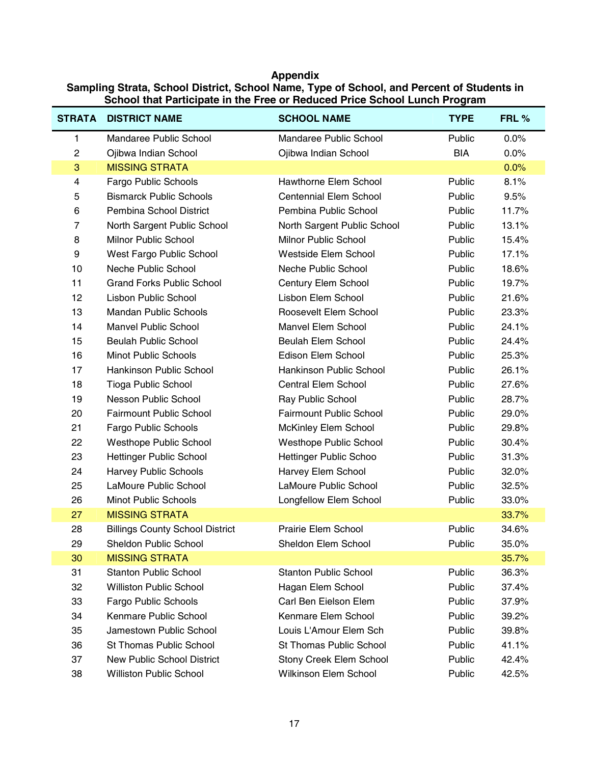**Appendix Sampling Strata, School District, School Name, Type of School, and Percent of Students in School that Participate in the Free or Reduced Price School Lunch Program** 

| <b>STRATA</b>            | <b>DISTRICT NAME</b>                   | <b>SCHOOL NAME</b>             | <b>TYPE</b> | FRL % |
|--------------------------|----------------------------------------|--------------------------------|-------------|-------|
| 1                        | Mandaree Public School                 | Mandaree Public School         | Public      | 0.0%  |
| $\overline{c}$           | Ojibwa Indian School                   | Ojibwa Indian School           | <b>BIA</b>  | 0.0%  |
| 3                        | <b>MISSING STRATA</b>                  |                                |             | 0.0%  |
| $\overline{\mathcal{A}}$ | Fargo Public Schools                   | <b>Hawthorne Elem School</b>   | Public      | 8.1%  |
| 5                        | <b>Bismarck Public Schools</b>         | <b>Centennial Elem School</b>  | Public      | 9.5%  |
| 6                        | Pembina School District                | Pembina Public School          | Public      | 11.7% |
| $\overline{7}$           | North Sargent Public School            | North Sargent Public School    | Public      | 13.1% |
| 8                        | <b>Milnor Public School</b>            | <b>Milnor Public School</b>    | Public      | 15.4% |
| 9                        | West Fargo Public School               | Westside Elem School           | Public      | 17.1% |
| 10                       | Neche Public School                    | Neche Public School            | Public      | 18.6% |
| 11                       | <b>Grand Forks Public School</b>       | Century Elem School            | Public      | 19.7% |
| 12                       | Lisbon Public School                   | Lisbon Elem School             | Public      | 21.6% |
| 13                       | <b>Mandan Public Schools</b>           | Roosevelt Elem School          | Public      | 23.3% |
| 14                       | <b>Manvel Public School</b>            | <b>Manvel Elem School</b>      | Public      | 24.1% |
| 15                       | <b>Beulah Public School</b>            | <b>Beulah Elem School</b>      | Public      | 24.4% |
| 16                       | <b>Minot Public Schools</b>            | Edison Elem School             | Public      | 25.3% |
| 17                       | <b>Hankinson Public School</b>         | <b>Hankinson Public School</b> | Public      | 26.1% |
| 18                       | <b>Tioga Public School</b>             | Central Elem School            | Public      | 27.6% |
| 19                       | Nesson Public School                   | Ray Public School              | Public      | 28.7% |
| 20                       | <b>Fairmount Public School</b>         | <b>Fairmount Public School</b> | Public      | 29.0% |
| 21                       | Fargo Public Schools                   | McKinley Elem School           | Public      | 29.8% |
| 22                       | <b>Westhope Public School</b>          | Westhope Public School         | Public      | 30.4% |
| 23                       | <b>Hettinger Public School</b>         | <b>Hettinger Public Schoo</b>  | Public      | 31.3% |
| 24                       | <b>Harvey Public Schools</b>           | Harvey Elem School             | Public      | 32.0% |
| 25                       | LaMoure Public School                  | LaMoure Public School          | Public      | 32.5% |
| 26                       | <b>Minot Public Schools</b>            | Longfellow Elem School         | Public      | 33.0% |
| 27                       | <b>MISSING STRATA</b>                  |                                |             | 33.7% |
| 28                       | <b>Billings County School District</b> | Prairie Elem School            | Public      | 34.6% |
| 29                       | <b>Sheldon Public School</b>           | Sheldon Elem School            | Public      | 35.0% |
| 30                       | <b>MISSING STRATA</b>                  |                                |             | 35.7% |
| 31                       | <b>Stanton Public School</b>           | <b>Stanton Public School</b>   | Public      | 36.3% |
| 32                       | <b>Williston Public School</b>         | Hagan Elem School              | Public      | 37.4% |
| 33                       | Fargo Public Schools                   | Carl Ben Eielson Elem          | Public      | 37.9% |
| 34                       | Kenmare Public School                  | Kenmare Elem School            | Public      | 39.2% |
| 35                       | Jamestown Public School                | Louis L'Amour Elem Sch         | Public      | 39.8% |
| 36                       | St Thomas Public School                | St Thomas Public School        | Public      | 41.1% |
| 37                       | <b>New Public School District</b>      | Stony Creek Elem School        | Public      | 42.4% |
| 38                       | <b>Williston Public School</b>         | Wilkinson Elem School          | Public      | 42.5% |